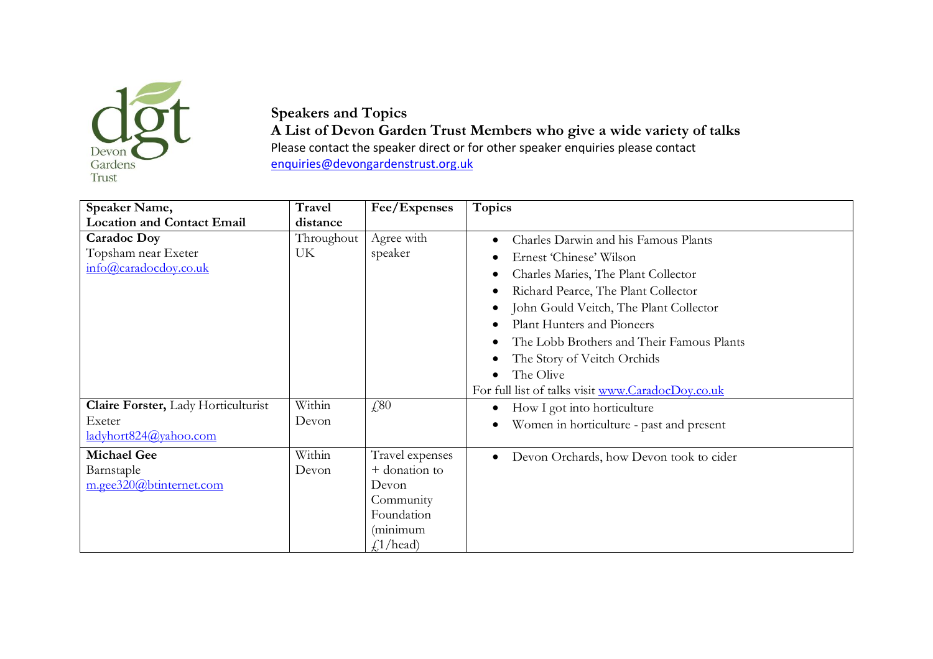

**Speakers and Topics A List of Devon Garden Trust Members who give a wide variety of talks** Please contact the speaker direct or for other speaker enquiries please contact [enquiries@devongardenstrust.org.uk](mailto:enquiries@devongardenstrust.org.uk)

| Speaker Name,                       | <b>Travel</b> | Fee/Expenses    | Topics                                            |
|-------------------------------------|---------------|-----------------|---------------------------------------------------|
| <b>Location and Contact Email</b>   | distance      |                 |                                                   |
| <b>Caradoc Doy</b>                  | Throughout    | Agree with      | Charles Darwin and his Famous Plants              |
| Topsham near Exeter                 | UK            | speaker         | Ernest 'Chinese' Wilson                           |
| info@caradocdoy.co.uk               |               |                 | Charles Maries, The Plant Collector               |
|                                     |               |                 | Richard Pearce, The Plant Collector               |
|                                     |               |                 | John Gould Veitch, The Plant Collector            |
|                                     |               |                 | Plant Hunters and Pioneers                        |
|                                     |               |                 | The Lobb Brothers and Their Famous Plants         |
|                                     |               |                 | The Story of Veitch Orchids                       |
|                                     |               |                 | The Olive                                         |
|                                     |               |                 | For full list of talks visit www.CaradocDoy.co.uk |
| Claire Forster, Lady Horticulturist | Within        | £,80            | How I got into horticulture                       |
| Exeter                              | Devon         |                 | Women in horticulture - past and present          |
| ladyhort824@yahoo.com               |               |                 |                                                   |
| <b>Michael Gee</b>                  | Within        | Travel expenses | Devon Orchards, how Devon took to cider           |
| Barnstaple                          | Devon         | + donation to   |                                                   |
| m.gee320@btinternet.com             |               | Devon           |                                                   |
|                                     |               | Community       |                                                   |
|                                     |               | Foundation      |                                                   |
|                                     |               | (minimum        |                                                   |
|                                     |               | $f$ /head)      |                                                   |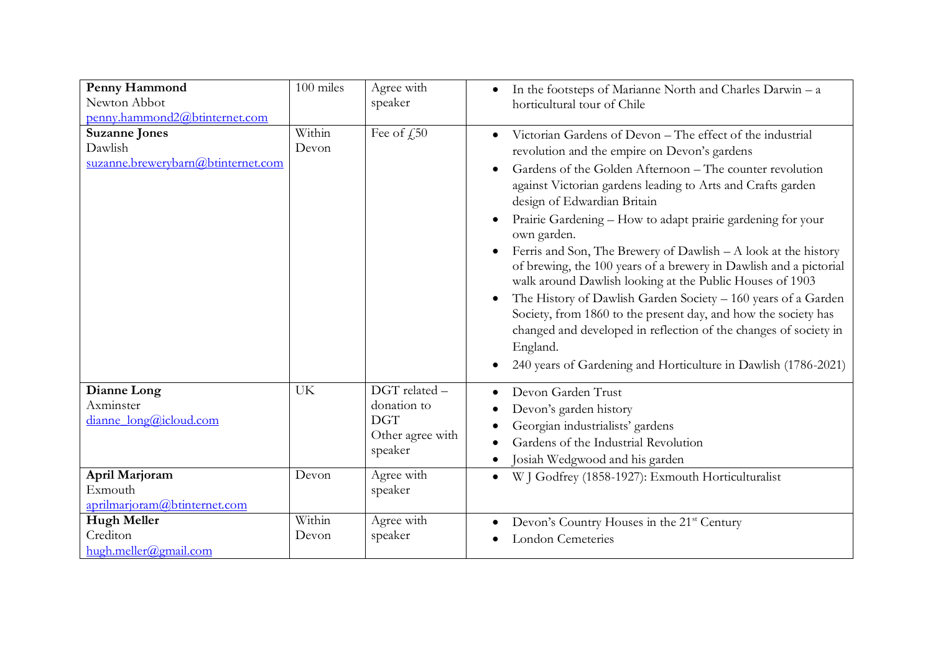| Penny Hammond<br>Newton Abbot<br>penny.hammond2@btinternet.com        | 100 miles       | Agree with<br>speaker                                                     | In the footsteps of Marianne North and Charles Darwin - a<br>$\bullet$<br>horticultural tour of Chile                                                                                                                                                                                                                                                                                                                                                                                                                                                                                                                                                                                                                                                                                                                                       |
|-----------------------------------------------------------------------|-----------------|---------------------------------------------------------------------------|---------------------------------------------------------------------------------------------------------------------------------------------------------------------------------------------------------------------------------------------------------------------------------------------------------------------------------------------------------------------------------------------------------------------------------------------------------------------------------------------------------------------------------------------------------------------------------------------------------------------------------------------------------------------------------------------------------------------------------------------------------------------------------------------------------------------------------------------|
| <b>Suzanne Jones</b><br>Dawlish<br>suzanne.brewerybarn@btinternet.com | Within<br>Devon | Fee of $f_{\rm s}$ 50                                                     | Victorian Gardens of Devon - The effect of the industrial<br>revolution and the empire on Devon's gardens<br>Gardens of the Golden Afternoon – The counter revolution<br>against Victorian gardens leading to Arts and Crafts garden<br>design of Edwardian Britain<br>Prairie Gardening - How to adapt prairie gardening for your<br>own garden.<br>Ferris and Son, The Brewery of Dawlish $- A$ look at the history<br>of brewing, the 100 years of a brewery in Dawlish and a pictorial<br>walk around Dawlish looking at the Public Houses of 1903<br>The History of Dawlish Garden Society - 160 years of a Garden<br>Society, from 1860 to the present day, and how the society has<br>changed and developed in reflection of the changes of society in<br>England.<br>240 years of Gardening and Horticulture in Dawlish (1786-2021) |
| Dianne Long<br>Axminster<br>dianne_long@icloud.com                    | UK              | DGT related -<br>donation to<br><b>DGT</b><br>Other agree with<br>speaker | Devon Garden Trust<br>Devon's garden history<br>Georgian industrialists' gardens<br>Gardens of the Industrial Revolution<br>Josiah Wedgwood and his garden                                                                                                                                                                                                                                                                                                                                                                                                                                                                                                                                                                                                                                                                                  |
| April Marjoram<br>Exmouth<br>aprilmarjoram@btinternet.com             | Devon           | Agree with<br>speaker                                                     | W J Godfrey (1858-1927): Exmouth Horticulturalist<br>$\bullet$                                                                                                                                                                                                                                                                                                                                                                                                                                                                                                                                                                                                                                                                                                                                                                              |
| <b>Hugh Meller</b><br>Crediton<br>hugh.meller@gmail.com               | Within<br>Devon | Agree with<br>speaker                                                     | Devon's Country Houses in the 21 <sup>st</sup> Century<br>London Cemeteries                                                                                                                                                                                                                                                                                                                                                                                                                                                                                                                                                                                                                                                                                                                                                                 |